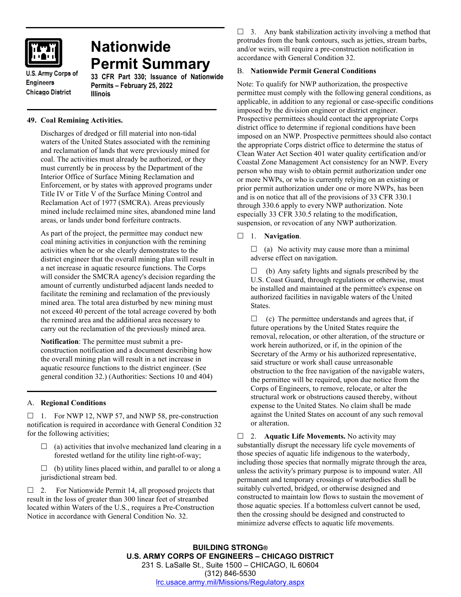

# **Nationwide Permit Summary**

**U.S. Army Corps of Engineers Chicago District** 

#### **33 CFR Part 330; Issuance of Nationwide Permits – February 25, 2022 Illinois**

# **49. Coal Remining Activities.**

Discharges of dredged or fill material into non-tidal waters of the United States associated with the remining and reclamation of lands that were previously mined for coal. The activities must already be authorized, or they must currently be in process by the Department of the Interior Office of Surface Mining Reclamation and Enforcement, or by states with approved programs under Title IV or Title V of the Surface Mining Control and Reclamation Act of 1977 (SMCRA). Areas previously mined include reclaimed mine sites, abandoned mine land areas, or lands under bond forfeiture contracts.

As part of the project, the permittee may conduct new coal mining activities in conjunction with the remining activities when he or she clearly demonstrates to the district engineer that the overall mining plan will result in a net increase in aquatic resource functions. The Corps will consider the SMCRA agency's decision regarding the amount of currently undisturbed adjacent lands needed to facilitate the remining and reclamation of the previously mined area. The total area disturbed by new mining must not exceed 40 percent of the total acreage covered by both the remined area and the additional area necessary to carry out the reclamation of the previously mined area.

**Notification**: The permittee must submit a preconstruction notification and a document describing how the overall mining plan will result in a net increase in aquatic resource functions to the district engineer. (See general condition 32.) (Authorities: Sections 10 and 404)

# A. **Regional Conditions**

 $\Box$  1. For NWP 12, NWP 57, and NWP 58, pre-construction notification is required in accordance with General Condition 32 for the following activities;

- $\Box$  (a) activities that involve mechanized land clearing in a forested wetland for the utility line right-of-way;
- $\Box$  (b) utility lines placed within, and parallel to or along a jurisdictional stream bed.

 $\Box$  2. For Nationwide Permit 14, all proposed projects that result in the loss of greater than 300 linear feet of streambed located within Waters of the U.S., requires a Pre-Construction Notice in accordance with General Condition No. 32.

 $\Box$  3. Any bank stabilization activity involving a method that protrudes from the bank contours, such as jetties, stream barbs, and/or weirs, will require a pre-construction notification in accordance with General Condition 32.

# B. **Nationwide Permit General Conditions**

Note: To qualify for NWP authorization, the prospective permittee must comply with the following general conditions, as applicable, in addition to any regional or case-specific conditions imposed by the division engineer or district engineer. Prospective permittees should contact the appropriate Corps district office to determine if regional conditions have been imposed on an NWP. Prospective permittees should also contact the appropriate Corps district office to determine the status of Clean Water Act Section 401 water quality certification and/or Coastal Zone Management Act consistency for an NWP. Every person who may wish to obtain permit authorization under one or more NWPs, or who is currently relying on an existing or prior permit authorization under one or more NWPs, has been and is on notice that all of the provisions of 33 CFR 330.1 through 330.6 apply to every NWP authorization. Note especially 33 CFR 330.5 relating to the modification, suspension, or revocation of any NWP authorization.

1. **Navigation**.

 $\Box$  (a) No activity may cause more than a minimal adverse effect on navigation.

 $\Box$  (b) Any safety lights and signals prescribed by the U.S. Coast Guard, through regulations or otherwise, must be installed and maintained at the permittee's expense on authorized facilities in navigable waters of the United States.

 $\Box$  (c) The permittee understands and agrees that, if future operations by the United States require the removal, relocation, or other alteration, of the structure or work herein authorized, or if, in the opinion of the Secretary of the Army or his authorized representative, said structure or work shall cause unreasonable obstruction to the free navigation of the navigable waters, the permittee will be required, upon due notice from the Corps of Engineers, to remove, relocate, or alter the structural work or obstructions caused thereby, without expense to the United States. No claim shall be made against the United States on account of any such removal or alteration.

□ 2. **Aquatic Life Movements.** No activity may substantially disrupt the necessary life cycle movements of those species of aquatic life indigenous to the waterbody, including those species that normally migrate through the area, unless the activity's primary purpose is to impound water. All permanent and temporary crossings of waterbodies shall be suitably culverted, bridged, or otherwise designed and constructed to maintain low flows to sustain the movement of those aquatic species. If a bottomless culvert cannot be used, then the crossing should be designed and constructed to minimize adverse effects to aquatic life movements.

**BUILDING STRONG® U.S. ARMY CORPS OF ENGINEERS – CHICAGO DISTRICT** 231 S. LaSalle St., Suite 1500 – CHICAGO, IL 60604 (312) 846-5530 [lrc.usace.army.mil/Missions/Regulatory.aspx](https://www.lrc.usace.army.mil/Missions/Regulatory.aspx)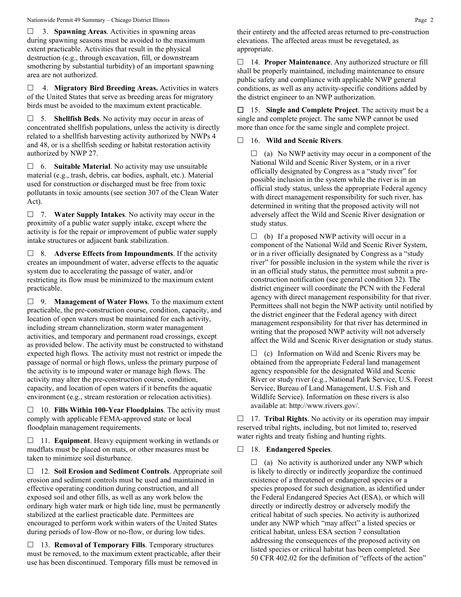#### Nationwide Permit 49 Summary – Chicago District Illinois Page 2

 3. **Spawning Areas**. Activities in spawning areas during spawning seasons must be avoided to the maximum extent practicable. Activities that result in the physical destruction (e.g., through excavation, fill, or downstream smothering by substantial turbidity) of an important spawning area are not authorized.

 4. **Migratory Bird Breeding Areas.** Activities in waters of the United States that serve as breeding areas for migratory birds must be avoided to the maximum extent practicable.

 5. **Shellfish Beds**. No activity may occur in areas of concentrated shellfish populations, unless the activity is directly related to a shellfish harvesting activity authorized by NWPs 4 and 48, or is a shellfish seeding or habitat restoration activity authorized by NWP 27.

 6. **Suitable Material**. No activity may use unsuitable material (e.g., trash, debris, car bodies, asphalt, etc.). Material used for construction or discharged must be free from toxic pollutants in toxic amounts (see section 307 of the Clean Water Act).

 7. **Water Supply Intakes**. No activity may occur in the proximity of a public water supply intake, except where the activity is for the repair or improvement of public water supply intake structures or adjacent bank stabilization.

 8. **Adverse Effects from Impoundments**. If the activity creates an impoundment of water, adverse effects to the aquatic system due to accelerating the passage of water, and/or restricting its flow must be minimized to the maximum extent practicable.

 9. **Management of Water Flows**. To the maximum extent practicable, the pre-construction course, condition, capacity, and location of open waters must be maintained for each activity, including stream channelization, storm water management activities, and temporary and permanent road crossings, except as provided below. The activity must be constructed to withstand expected high flows. The activity must not restrict or impede the passage of normal or high flows, unless the primary purpose of the activity is to impound water or manage high flows. The activity may alter the pre-construction course, condition, capacity, and location of open waters if it benefits the aquatic environment (e.g., stream restoration or relocation activities).

 10. **Fills Within 100-Year Floodplains**. The activity must comply with applicable FEMA-approved state or local floodplain management requirements.

□ 11. **Equipment**. Heavy equipment working in wetlands or mudflats must be placed on mats, or other measures must be taken to minimize soil disturbance.

 12. **Soil Erosion and Sediment Controls**. Appropriate soil erosion and sediment controls must be used and maintained in effective operating condition during construction, and all exposed soil and other fills, as well as any work below the ordinary high water mark or high tide line, must be permanently stabilized at the earliest practicable date. Permittees are encouraged to perform work within waters of the United States during periods of low-flow or no-flow, or during low tides.

 13. **Removal of Temporary Fills**. Temporary structures must be removed, to the maximum extent practicable, after their use has been discontinued. Temporary fills must be removed in

their entirety and the affected areas returned to pre-construction elevations. The affected areas must be revegetated, as appropriate.

 14. **Proper Maintenance**. Any authorized structure or fill shall be properly maintained, including maintenance to ensure public safety and compliance with applicable NWP general conditions, as well as any activity-specific conditions added by the district engineer to an NWP authorization.

 15. **Single and Complete Project**. The activity must be a single and complete project. The same NWP cannot be used more than once for the same single and complete project.

# 16. **Wild and Scenic Rivers**.

 $\Box$  (a) No NWP activity may occur in a component of the National Wild and Scenic River System, or in a river officially designated by Congress as a "study river" for possible inclusion in the system while the river is in an official study status, unless the appropriate Federal agency with direct management responsibility for such river, has determined in writing that the proposed activity will not adversely affect the Wild and Scenic River designation or study status.

 $\Box$  (b) If a proposed NWP activity will occur in a component of the National Wild and Scenic River System, or in a river officially designated by Congress as a "study river" for possible inclusion in the system while the river is in an official study status, the permittee must submit a preconstruction notification (see general condition 32). The district engineer will coordinate the PCN with the Federal agency with direct management responsibility for that river. Permittees shall not begin the NWP activity until notified by the district engineer that the Federal agency with direct management responsibility for that river has determined in writing that the proposed NWP activity will not adversely affect the Wild and Scenic River designation or study status.

 $\Box$  (c) Information on Wild and Scenic Rivers may be obtained from the appropriate Federal land management agency responsible for the designated Wild and Scenic River or study river (e.g., National Park Service, U.S. Forest Service, Bureau of Land Management, U.S. Fish and Wildlife Service). Information on these rivers is also available at: http://www.rivers.gov/.

 17. **Tribal Rights**. No activity or its operation may impair reserved tribal rights, including, but not limited to, reserved water rights and treaty fishing and hunting rights.

# 18. **Endangered Species**.

 $\Box$  (a) No activity is authorized under any NWP which is likely to directly or indirectly jeopardize the continued existence of a threatened or endangered species or a species proposed for such designation, as identified under the Federal Endangered Species Act (ESA), or which will directly or indirectly destroy or adversely modify the critical habitat of such species. No activity is authorized under any NWP which "may affect" a listed species or critical habitat, unless ESA section 7 consultation addressing the consequences of the proposed activity on listed species or critical habitat has been completed. See 50 CFR 402.02 for the definition of "effects of the action"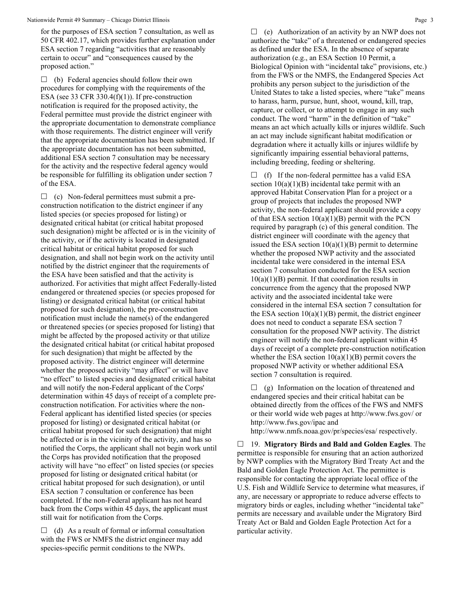for the purposes of ESA section 7 consultation, as well as 50 CFR 402.17, which provides further explanation under ESA section 7 regarding "activities that are reasonably certain to occur" and "consequences caused by the proposed action."

 $\Box$  (b) Federal agencies should follow their own procedures for complying with the requirements of the ESA (see 33 CFR 330.4 $(f)(1)$ ). If pre-construction notification is required for the proposed activity, the Federal permittee must provide the district engineer with the appropriate documentation to demonstrate compliance with those requirements. The district engineer will verify that the appropriate documentation has been submitted. If the appropriate documentation has not been submitted, additional ESA section 7 consultation may be necessary for the activity and the respective federal agency would be responsible for fulfilling its obligation under section 7 of the ESA.

 $\Box$  (c) Non-federal permittees must submit a preconstruction notification to the district engineer if any listed species (or species proposed for listing) or designated critical habitat (or critical habitat proposed such designation) might be affected or is in the vicinity of the activity, or if the activity is located in designated critical habitat or critical habitat proposed for such designation, and shall not begin work on the activity until notified by the district engineer that the requirements of the ESA have been satisfied and that the activity is authorized. For activities that might affect Federally-listed endangered or threatened species (or species proposed for listing) or designated critical habitat (or critical habitat proposed for such designation), the pre-construction notification must include the name(s) of the endangered or threatened species (or species proposed for listing) that might be affected by the proposed activity or that utilize the designated critical habitat (or critical habitat proposed for such designation) that might be affected by the proposed activity. The district engineer will determine whether the proposed activity "may affect" or will have "no effect" to listed species and designated critical habitat and will notify the non-Federal applicant of the Corps' determination within 45 days of receipt of a complete preconstruction notification. For activities where the non-Federal applicant has identified listed species (or species proposed for listing) or designated critical habitat (or critical habitat proposed for such designation) that might be affected or is in the vicinity of the activity, and has so notified the Corps, the applicant shall not begin work until the Corps has provided notification that the proposed activity will have "no effect" on listed species (or species proposed for listing or designated critical habitat (or critical habitat proposed for such designation), or until ESA section 7 consultation or conference has been completed. If the non-Federal applicant has not heard back from the Corps within 45 days, the applicant must still wait for notification from the Corps.

 $\Box$  (d) As a result of formal or informal consultation with the FWS or NMFS the district engineer may add species-specific permit conditions to the NWPs.

 $\Box$  (e) Authorization of an activity by an NWP does not authorize the "take" of a threatened or endangered species as defined under the ESA. In the absence of separate authorization (e.g., an ESA Section 10 Permit, a Biological Opinion with "incidental take" provisions, etc.) from the FWS or the NMFS, the Endangered Species Act prohibits any person subject to the jurisdiction of the United States to take a listed species, where "take" means to harass, harm, pursue, hunt, shoot, wound, kill, trap, capture, or collect, or to attempt to engage in any such conduct. The word "harm" in the definition of "take" means an act which actually kills or injures wildlife. Such an act may include significant habitat modification or degradation where it actually kills or injures wildlife by significantly impairing essential behavioral patterns, including breeding, feeding or sheltering.

 $\Box$  (f) If the non-federal permittee has a valid ESA section  $10(a)(1)(B)$  incidental take permit with an approved Habitat Conservation Plan for a project or a group of projects that includes the proposed NWP activity, the non-federal applicant should provide a copy of that ESA section  $10(a)(1)(B)$  permit with the PCN required by paragraph (c) of this general condition. The district engineer will coordinate with the agency that issued the ESA section  $10(a)(1)(B)$  permit to determine whether the proposed NWP activity and the associated incidental take were considered in the internal ESA section 7 consultation conducted for the ESA section  $10(a)(1)(B)$  permit. If that coordination results in concurrence from the agency that the proposed NWP activity and the associated incidental take were considered in the internal ESA section 7 consultation for the ESA section  $10(a)(1)(B)$  permit, the district engineer does not need to conduct a separate ESA section 7 consultation for the proposed NWP activity. The district engineer will notify the non-federal applicant within 45 days of receipt of a complete pre-construction notification whether the ESA section  $10(a)(1)(B)$  permit covers the proposed NWP activity or whether additional ESA section 7 consultation is required.

 $\Box$  (g) Information on the location of threatened and endangered species and their critical habitat can be obtained directly from the offices of the FWS and NMFS or their world wide web pages at http://www.fws.gov/ or http://www.fws.gov/ipac and

http://www.nmfs.noaa.gov/pr/species/esa/ respectively.

 19. **Migratory Birds and Bald and Golden Eagles**. The permittee is responsible for ensuring that an action authorized by NWP complies with the Migratory Bird Treaty Act and the Bald and Golden Eagle Protection Act. The permittee is responsible for contacting the appropriate local office of the U.S. Fish and Wildlife Service to determine what measures, if any, are necessary or appropriate to reduce adverse effects to migratory birds or eagles, including whether "incidental take" permits are necessary and available under the Migratory Bird Treaty Act or Bald and Golden Eagle Protection Act for a particular activity.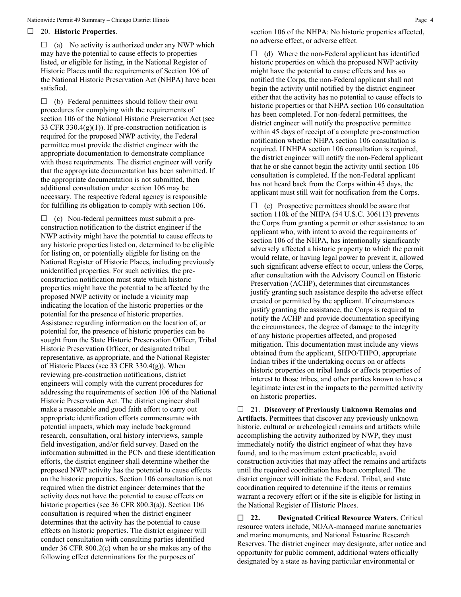#### 20. **Historic Properties**.

 $\Box$  (a) No activity is authorized under any NWP which may have the potential to cause effects to properties listed, or eligible for listing, in the National Register of Historic Places until the requirements of Section 106 of the National Historic Preservation Act (NHPA) have been satisfied.

 $\Box$  (b) Federal permittees should follow their own procedures for complying with the requirements of section 106 of the National Historic Preservation Act (see 33 CFR 330.4(g)(1)). If pre-construction notification is required for the proposed NWP activity, the Federal permittee must provide the district engineer with the appropriate documentation to demonstrate compliance with those requirements. The district engineer will verify that the appropriate documentation has been submitted. If the appropriate documentation is not submitted, then additional consultation under section 106 may be necessary. The respective federal agency is responsible for fulfilling its obligation to comply with section 106.

 $\Box$  (c) Non-federal permittees must submit a preconstruction notification to the district engineer if the NWP activity might have the potential to cause effects to any historic properties listed on, determined to be eligible for listing on, or potentially eligible for listing on the National Register of Historic Places, including previously unidentified properties. For such activities, the preconstruction notification must state which historic properties might have the potential to be affected by the proposed NWP activity or include a vicinity map indicating the location of the historic properties or the potential for the presence of historic properties. Assistance regarding information on the location of, or potential for, the presence of historic properties can be sought from the State Historic Preservation Officer, Tribal Historic Preservation Officer, or designated tribal representative, as appropriate, and the National Register of Historic Places (see 33 CFR 330.4(g)). When reviewing pre-construction notifications, district engineers will comply with the current procedures for addressing the requirements of section 106 of the National Historic Preservation Act. The district engineer shall make a reasonable and good faith effort to carry out appropriate identification efforts commensurate with potential impacts, which may include background research, consultation, oral history interviews, sample field investigation, and/or field survey. Based on the information submitted in the PCN and these identification efforts, the district engineer shall determine whether the proposed NWP activity has the potential to cause effects on the historic properties. Section 106 consultation is not required when the district engineer determines that the activity does not have the potential to cause effects on historic properties (see 36 CFR 800.3(a)). Section 106 consultation is required when the district engineer determines that the activity has the potential to cause effects on historic properties. The district engineer will conduct consultation with consulting parties identified under 36 CFR 800.2(c) when he or she makes any of the following effect determinations for the purposes of

section 106 of the NHPA: No historic properties affected, no adverse effect, or adverse effect.

 $\Box$  (d) Where the non-Federal applicant has identified historic properties on which the proposed NWP activity might have the potential to cause effects and has so notified the Corps, the non-Federal applicant shall not begin the activity until notified by the district engineer either that the activity has no potential to cause effects to historic properties or that NHPA section 106 consultation has been completed. For non-federal permittees, the district engineer will notify the prospective permittee within 45 days of receipt of a complete pre-construction notification whether NHPA section 106 consultation is required. If NHPA section 106 consultation is required, the district engineer will notify the non-Federal applicant that he or she cannot begin the activity until section 106 consultation is completed. If the non-Federal applicant has not heard back from the Corps within 45 days, the applicant must still wait for notification from the Corps.

 $\Box$  (e) Prospective permittees should be aware that section 110k of the NHPA (54 U.S.C. 306113) prevents the Corps from granting a permit or other assistance to an applicant who, with intent to avoid the requirements of section 106 of the NHPA, has intentionally significantly adversely affected a historic property to which the permit would relate, or having legal power to prevent it, allowed such significant adverse effect to occur, unless the Corps, after consultation with the Advisory Council on Historic Preservation (ACHP), determines that circumstances justify granting such assistance despite the adverse effect created or permitted by the applicant. If circumstances justify granting the assistance, the Corps is required to notify the ACHP and provide documentation specifying the circumstances, the degree of damage to the integrity of any historic properties affected, and proposed mitigation. This documentation must include any views obtained from the applicant, SHPO/THPO, appropriate Indian tribes if the undertaking occurs on or affects historic properties on tribal lands or affects properties of interest to those tribes, and other parties known to have a legitimate interest in the impacts to the permitted activity on historic properties.

 21. **Discovery of Previously Unknown Remains and Artifacts**. Permittees that discover any previously unknown historic, cultural or archeological remains and artifacts while accomplishing the activity authorized by NWP, they must immediately notify the district engineer of what they have found, and to the maximum extent practicable, avoid construction activities that may affect the remains and artifacts until the required coordination has been completed. The district engineer will initiate the Federal, Tribal, and state coordination required to determine if the items or remains warrant a recovery effort or if the site is eligible for listing in the National Register of Historic Places.

 **22. Designated Critical Resource Waters**. Critical resource waters include, NOAA-managed marine sanctuaries and marine monuments, and National Estuarine Research Reserves. The district engineer may designate, after notice and opportunity for public comment, additional waters officially designated by a state as having particular environmental or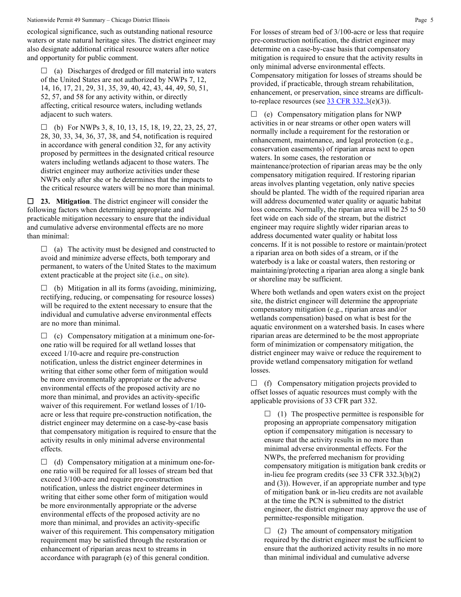#### Nationwide Permit 49 Summary – Chicago District Illinois **Page 5 Page 5**

ecological significance, such as outstanding national resource waters or state natural heritage sites. The district engineer may also designate additional critical resource waters after notice and opportunity for public comment.

 $\Box$  (a) Discharges of dredged or fill material into waters of the United States are not authorized by NWPs 7, 12, 14, 16, 17, 21, 29, 31, 35, 39, 40, 42, 43, 44, 49, 50, 51, 52, 57, and 58 for any activity within, or directly affecting, critical resource waters, including wetlands adjacent to such waters.

 $\Box$  (b) For NWPs 3, 8, 10, 13, 15, 18, 19, 22, 23, 25, 27, 28, 30, 33, 34, 36, 37, 38, and 54, notification is required in accordance with general condition 32, for any activity proposed by permittees in the designated critical resource waters including wetlands adjacent to those waters. The district engineer may authorize activities under these NWPs only after she or he determines that the impacts to the critical resource waters will be no more than minimal.

 **23. Mitigation**. The district engineer will consider the following factors when determining appropriate and practicable mitigation necessary to ensure that the individual and cumulative adverse environmental effects are no more than minimal:

 $\Box$  (a) The activity must be designed and constructed to avoid and minimize adverse effects, both temporary and permanent, to waters of the United States to the maximum extent practicable at the project site (i.e., on site).

 $\Box$  (b) Mitigation in all its forms (avoiding, minimizing, rectifying, reducing, or compensating for resource losses) will be required to the extent necessary to ensure that the individual and cumulative adverse environmental effects are no more than minimal.

 $\Box$  (c) Compensatory mitigation at a minimum one-forone ratio will be required for all wetland losses that exceed 1/10-acre and require pre-construction notification, unless the district engineer determines in writing that either some other form of mitigation would be more environmentally appropriate or the adverse environmental effects of the proposed activity are no more than minimal, and provides an activity-specific waiver of this requirement. For wetland losses of 1/10 acre or less that require pre-construction notification, the district engineer may determine on a case-by-case basis that compensatory mitigation is required to ensure that the activity results in only minimal adverse environmental effects.

 $\Box$  (d) Compensatory mitigation at a minimum one-forone ratio will be required for all losses of stream bed that exceed 3/100-acre and require pre-construction notification, unless the district engineer determines in writing that either some other form of mitigation would be more environmentally appropriate or the adverse environmental effects of the proposed activity are no more than minimal, and provides an activity-specific waiver of this requirement. This compensatory mitigation requirement may be satisfied through the restoration or enhancement of riparian areas next to streams in accordance with paragraph (e) of this general condition.

For losses of stream bed of 3/100-acre or less that require pre-construction notification, the district engineer may determine on a case-by-case basis that compensatory mitigation is required to ensure that the activity results in only minimal adverse environmental effects. Compensatory mitigation for losses of streams should be provided, if practicable, through stream rehabilitation, enhancement, or preservation, since streams are difficultto-replace resources (see  $33$  CFR  $332.3(e)(3)$ ).

 $\Box$  (e) Compensatory mitigation plans for NWP activities in or near streams or other open waters will normally include a requirement for the restoration or enhancement, maintenance, and legal protection (e.g., conservation easements) of riparian areas next to open waters. In some cases, the restoration or maintenance/protection of riparian areas may be the only compensatory mitigation required. If restoring riparian areas involves planting vegetation, only native species should be planted. The width of the required riparian area will address documented water quality or aquatic habitat loss concerns. Normally, the riparian area will be 25 to 50 feet wide on each side of the stream, but the district engineer may require slightly wider riparian areas to address documented water quality or habitat loss concerns. If it is not possible to restore or maintain/protect a riparian area on both sides of a stream, or if the waterbody is a lake or coastal waters, then restoring or maintaining/protecting a riparian area along a single bank or shoreline may be sufficient.

Where both wetlands and open waters exist on the project site, the district engineer will determine the appropriate compensatory mitigation (e.g., riparian areas and/or wetlands compensation) based on what is best for the aquatic environment on a watershed basis. In cases where riparian areas are determined to be the most appropriate form of minimization or compensatory mitigation, the district engineer may waive or reduce the requirement to provide wetland compensatory mitigation for wetland losses.

 $\Box$  (f) Compensatory mitigation projects provided to offset losses of aquatic resources must comply with the applicable provisions of 33 CFR part 332.

 $\Box$  (1) The prospective permittee is responsible for proposing an appropriate compensatory mitigation option if compensatory mitigation is necessary to ensure that the activity results in no more than minimal adverse environmental effects. For the NWPs, the preferred mechanism for providing compensatory mitigation is mitigation bank credits or in-lieu fee program credits (see 33 CFR 332.3(b)(2) and (3)). However, if an appropriate number and type of mitigation bank or in-lieu credits are not available at the time the PCN is submitted to the district engineer, the district engineer may approve the use of permittee-responsible mitigation.

 $\Box$  (2) The amount of compensatory mitigation required by the district engineer must be sufficient to ensure that the authorized activity results in no more than minimal individual and cumulative adverse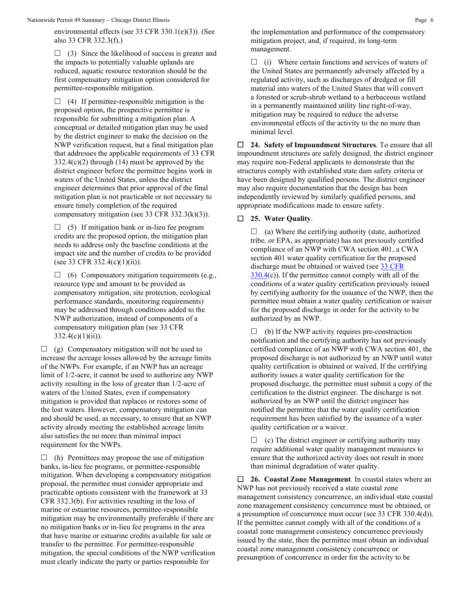Nationwide Permit 49 Summary – Chicago District Illinois **Page 6** Summary – Chicago District Illinois **Page 6** Summary – Chicago District Illinois **Page 6** Summary – Chicago District Illinois **Page 6** Summary – Chicago Dis

environmental effects (see 33 CFR 330.1(e)(3)). (See also 33 CFR 332.3(f).)

 $\Box$  (3) Since the likelihood of success is greater and the impacts to potentially valuable uplands are reduced, aquatic resource restoration should be the first compensatory mitigation option considered for permittee-responsible mitigation.

 $\Box$  (4) If permittee-responsible mitigation is the proposed option, the prospective permittee is responsible for submitting a mitigation plan. A conceptual or detailed mitigation plan may be used by the district engineer to make the decision on the NWP verification request, but a final mitigation plan that addresses the applicable requirements of 33 CFR 332.4(c)(2) through (14) must be approved by the district engineer before the permittee begins work in waters of the United States, unless the district engineer determines that prior approval of the final mitigation plan is not practicable or not necessary to ensure timely completion of the required compensatory mitigation (see 33 CFR 332.3(k)(3)).

 $\Box$  (5) If mitigation bank or in-lieu fee program credits are the proposed option, the mitigation plan needs to address only the baseline conditions at the impact site and the number of credits to be provided (see 33 CFR 332.4(c)(1)(ii)).

 $\Box$  (6) Compensatory mitigation requirements (e.g., resource type and amount to be provided as compensatory mitigation, site protection, ecological performance standards, monitoring requirements) may be addressed through conditions added to the NWP authorization, instead of components of a compensatory mitigation plan (see 33 CFR  $332.4(c)(1)(ii)$ ).

 $\Box$  (g) Compensatory mitigation will not be used to increase the acreage losses allowed by the acreage limits of the NWPs. For example, if an NWP has an acreage limit of 1/2-acre, it cannot be used to authorize any NWP activity resulting in the loss of greater than 1/2-acre of waters of the United States, even if compensatory mitigation is provided that replaces or restores some of the lost waters. However, compensatory mitigation can and should be used, as necessary, to ensure that an NWP activity already meeting the established acreage limits also satisfies the no more than minimal impact requirement for the NWPs.

 $\Box$  (h) Permittees may propose the use of mitigation banks, in-lieu fee programs, or permittee-responsible mitigation. When developing a compensatory mitigation proposal, the permittee must consider appropriate and practicable options consistent with the framework at 33 CFR 332.3(b). For activities resulting in the loss of marine or estuarine resources, permittee-responsible mitigation may be environmentally preferable if there are no mitigation banks or in-lieu fee programs in the area that have marine or estuarine credits available for sale or transfer to the permittee. For permittee-responsible mitigation, the special conditions of the NWP verification must clearly indicate the party or parties responsible for

the implementation and performance of the compensatory mitigation project, and, if required, its long-term management.

 $\Box$  (i) Where certain functions and services of waters of the United States are permanently adversely affected by a regulated activity, such as discharges of dredged or fill material into waters of the United States that will convert a forested or scrub-shrub wetland to a herbaceous wetland in a permanently maintained utility line right-of-way, mitigation may be required to reduce the adverse environmental effects of the activity to the no more than minimal level.

 **24. Safety of Impoundment Structures**. To ensure that all impoundment structures are safely designed, the district engineer may require non-Federal applicants to demonstrate that the structures comply with established state dam safety criteria or have been designed by qualified persons. The district engineer may also require documentation that the design has been independently reviewed by similarly qualified persons, and appropriate modifications made to ensure safety.

# **25. Water Quality**.

 $\Box$  (a) Where the certifying authority (state, authorized tribe, or EPA, as appropriate) has not previously certified compliance of an NWP with CWA section 401, a CWA section 401 water quality certification for the proposed discharge must be obtained or waived (see [33 CFR](https://www.federalregister.gov/select-citation/2021/01/13/33-CFR-330.4)   $330.4(c)$  $330.4(c)$ ). If the permittee cannot comply with all of the conditions of a water quality certification previously issued by certifying authority for the issuance of the NWP, then the permittee must obtain a water quality certification or waiver for the proposed discharge in order for the activity to be authorized by an NWP.

 $\Box$  (b) If the NWP activity requires pre-construction notification and the certifying authority has not previously certified compliance of an NWP with CWA section 401, the proposed discharge is not authorized by an NWP until water quality certification is obtained or waived. If the certifying authority issues a water quality certification for the proposed discharge, the permittee must submit a copy of the certification to the district engineer. The discharge is not authorized by an NWP until the district engineer has notified the permittee that the water quality certification requirement has been satisfied by the issuance of a water quality certification or a waiver.

 $\Box$  (c) The district engineer or certifying authority may require additional water quality management measures to ensure that the authorized activity does not result in more than minimal degradation of water quality.

 **26. Coastal Zone Management**. In coastal states where an NWP has not previously received a state coastal zone management consistency concurrence, an individual state coastal zone management consistency concurrence must be obtained, or a presumption of concurrence must occur (see 33 CFR 330.4(d)). If the permittee cannot comply with all of the conditions of a coastal zone management consistency concurrence previously issued by the state, then the permittee must obtain an individual coastal zone management consistency concurrence or presumption of concurrence in order for the activity to be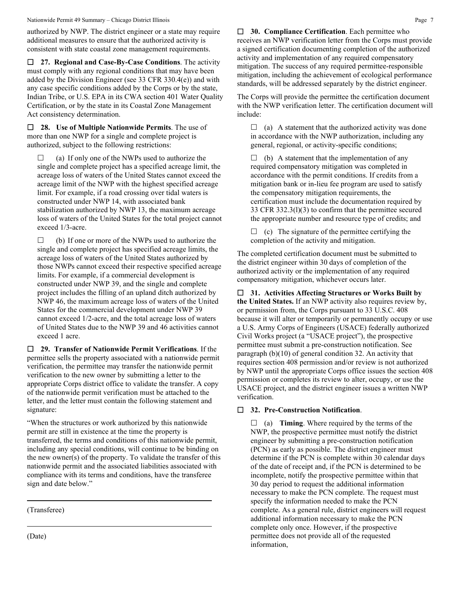Nationwide Permit 49 Summary – Chicago District Illinois **Page 7** Page 7

authorized by NWP. The district engineer or a state may require additional measures to ensure that the authorized activity is consistent with state coastal zone management requirements.

 **27. Regional and Case-By-Case Conditions**. The activity must comply with any regional conditions that may have been added by the Division Engineer (see 33 CFR 330.4(e)) and with any case specific conditions added by the Corps or by the state, Indian Tribe, or U.S. EPA in its CWA section 401 Water Quality Certification, or by the state in its Coastal Zone Management Act consistency determination.

 **28. Use of Multiple Nationwide Permits**. The use of more than one NWP for a single and complete project is authorized, subject to the following restrictions:

 $\Box$  (a) If only one of the NWPs used to authorize the single and complete project has a specified acreage limit, the acreage loss of waters of the United States cannot exceed the acreage limit of the NWP with the highest specified acreage limit. For example, if a road crossing over tidal waters is constructed under NWP 14, with associated bank stabilization authorized by NWP 13, the maximum acreage loss of waters of the United States for the total project cannot exceed 1/3-acre.

 $\Box$  (b) If one or more of the NWPs used to authorize the single and complete project has specified acreage limits, the acreage loss of waters of the United States authorized by those NWPs cannot exceed their respective specified acreage limits. For example, if a commercial development is constructed under NWP 39, and the single and complete project includes the filling of an upland ditch authorized by NWP 46, the maximum acreage loss of waters of the United States for the commercial development under NWP 39 cannot exceed 1/2-acre, and the total acreage loss of waters of United States due to the NWP 39 and 46 activities cannot exceed 1 acre.

 **29. Transfer of Nationwide Permit Verifications**. If the permittee sells the property associated with a nationwide permit verification, the permittee may transfer the nationwide permit verification to the new owner by submitting a letter to the appropriate Corps district office to validate the transfer. A copy of the nationwide permit verification must be attached to the letter, and the letter must contain the following statement and signature:

"When the structures or work authorized by this nationwide permit are still in existence at the time the property is transferred, the terms and conditions of this nationwide permit, including any special conditions, will continue to be binding on the new owner(s) of the property. To validate the transfer of this nationwide permit and the associated liabilities associated with compliance with its terms and conditions, have the transferee sign and date below."

(Transferee)

(Date)

 **30. Compliance Certification**. Each permittee who receives an NWP verification letter from the Corps must provide a signed certification documenting completion of the authorized activity and implementation of any required compensatory mitigation. The success of any required permittee-responsible mitigation, including the achievement of ecological performance standards, will be addressed separately by the district engineer.

The Corps will provide the permittee the certification document with the NWP verification letter. The certification document will include:

 $\Box$  (a) A statement that the authorized activity was done in accordance with the NWP authorization, including any general, regional, or activity-specific conditions;

 $\Box$  (b) A statement that the implementation of any required compensatory mitigation was completed in accordance with the permit conditions. If credits from a mitigation bank or in-lieu fee program are used to satisfy the compensatory mitigation requirements, the certification must include the documentation required by 33 CFR 332.3(l)(3) to confirm that the permittee secured the appropriate number and resource type of credits; and

 $\Box$  (c) The signature of the permittee certifying the completion of the activity and mitigation.

The completed certification document must be submitted to the district engineer within 30 days of completion of the authorized activity or the implementation of any required compensatory mitigation, whichever occurs later.

 **31. Activities Affecting Structures or Works Built by the United States.** If an NWP activity also requires review by, or permission from, the Corps pursuant to 33 U.S.C. 408 because it will alter or temporarily or permanently occupy or use a U.S. Army Corps of Engineers (USACE) federally authorized Civil Works project (a "USACE project"), the prospective permittee must submit a pre-construction notification. See paragraph (b)(10) of general condition 32. An activity that requires section 408 permission and/or review is not authorized by NWP until the appropriate Corps office issues the section 408 permission or completes its review to alter, occupy, or use the USACE project, and the district engineer issues a written NWP verification.

# **32. Pre-Construction Notification**.

 $\Box$  (a) **Timing**. Where required by the terms of the NWP, the prospective permittee must notify the district engineer by submitting a pre-construction notification (PCN) as early as possible. The district engineer must determine if the PCN is complete within 30 calendar days of the date of receipt and, if the PCN is determined to be incomplete, notify the prospective permittee within that 30 day period to request the additional information necessary to make the PCN complete. The request must specify the information needed to make the PCN complete. As a general rule, district engineers will request additional information necessary to make the PCN complete only once. However, if the prospective permittee does not provide all of the requested information,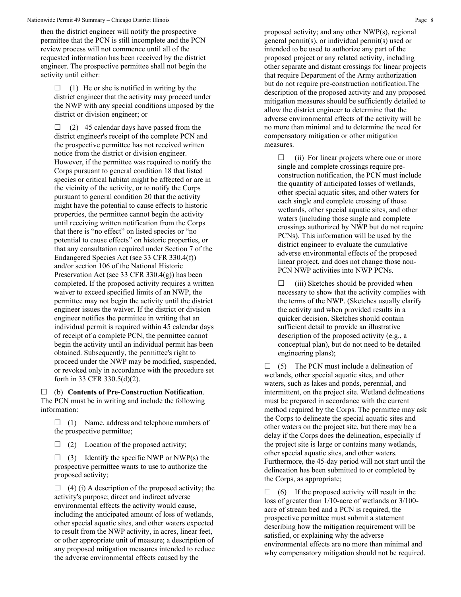Nationwide Permit 49 Summary – Chicago District Illinois **Page 8** 8

then the district engineer will notify the prospective permittee that the PCN is still incomplete and the PCN review process will not commence until all of the requested information has been received by the district engineer. The prospective permittee shall not begin the activity until either:

 $\Box$  (1) He or she is notified in writing by the district engineer that the activity may proceed under the NWP with any special conditions imposed by the district or division engineer; or

 $\Box$  (2) 45 calendar days have passed from the district engineer's receipt of the complete PCN and the prospective permittee has not received written notice from the district or division engineer. However, if the permittee was required to notify the Corps pursuant to general condition 18 that listed species or critical habitat might be affected or are in the vicinity of the activity, or to notify the Corps pursuant to general condition 20 that the activity might have the potential to cause effects to historic properties, the permittee cannot begin the activity until receiving written notification from the Corps that there is "no effect" on listed species or "no potential to cause effects" on historic properties, or that any consultation required under Section 7 of the Endangered Species Act (see 33 CFR 330.4(f)) and/or section 106 of the National Historic Preservation Act (see 33 CFR 330.4(g)) has been completed. If the proposed activity requires a written waiver to exceed specified limits of an NWP, the permittee may not begin the activity until the district engineer issues the waiver. If the district or division engineer notifies the permittee in writing that an individual permit is required within 45 calendar days of receipt of a complete PCN, the permittee cannot begin the activity until an individual permit has been obtained. Subsequently, the permittee's right to proceed under the NWP may be modified, suspended, or revoked only in accordance with the procedure set forth in 33 CFR 330.5(d)(2).

 (b) **Contents of Pre-Construction Notification**. The PCN must be in writing and include the following information:

 $\Box$  (1) Name, address and telephone numbers of the prospective permittee;

 $\Box$  (2) Location of the proposed activity;

 $\Box$  (3) Identify the specific NWP or NWP(s) the prospective permittee wants to use to authorize the proposed activity;

 $\Box$  (4) (i) A description of the proposed activity; the activity's purpose; direct and indirect adverse environmental effects the activity would cause, including the anticipated amount of loss of wetlands, other special aquatic sites, and other waters expected to result from the NWP activity, in acres, linear feet, or other appropriate unit of measure; a description of any proposed mitigation measures intended to reduce the adverse environmental effects caused by the

proposed activity; and any other NWP(s), regional general permit(s), or individual permit(s) used or intended to be used to authorize any part of the proposed project or any related activity, including other separate and distant crossings for linear projects that require Department of the Army authorization but do not require pre-construction notification.The description of the proposed activity and any proposed mitigation measures should be sufficiently detailed to allow the district engineer to determine that the adverse environmental effects of the activity will be no more than minimal and to determine the need for compensatory mitigation or other mitigation measures.

 $\Box$  (ii) For linear projects where one or more single and complete crossings require preconstruction notification, the PCN must include the quantity of anticipated losses of wetlands, other special aquatic sites, and other waters for each single and complete crossing of those wetlands, other special aquatic sites, and other waters (including those single and complete crossings authorized by NWP but do not require PCNs). This information will be used by the district engineer to evaluate the cumulative adverse environmental effects of the proposed linear project, and does not change those non-PCN NWP activities into NWP PCNs.

 $\Box$  (iii) Sketches should be provided when necessary to show that the activity complies with the terms of the NWP. (Sketches usually clarify the activity and when provided results in a quicker decision. Sketches should contain sufficient detail to provide an illustrative description of the proposed activity (e.g., a conceptual plan), but do not need to be detailed engineering plans);

 $\Box$  (5) The PCN must include a delineation of wetlands, other special aquatic sites, and other waters, such as lakes and ponds, perennial, and intermittent, on the project site. Wetland delineations must be prepared in accordance with the current method required by the Corps. The permittee may ask the Corps to delineate the special aquatic sites and other waters on the project site, but there may be a delay if the Corps does the delineation, especially if the project site is large or contains many wetlands, other special aquatic sites, and other waters. Furthermore, the 45-day period will not start until the delineation has been submitted to or completed by the Corps, as appropriate;

 $\Box$  (6) If the proposed activity will result in the loss of greater than 1/10-acre of wetlands or 3/100 acre of stream bed and a PCN is required, the prospective permittee must submit a statement describing how the mitigation requirement will be satisfied, or explaining why the adverse environmental effects are no more than minimal and why compensatory mitigation should not be required.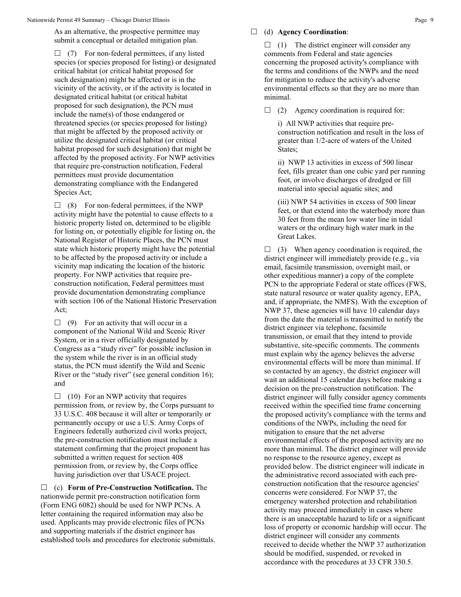As an alternative, the prospective permittee may submit a conceptual or detailed mitigation plan.

 $\Box$  (7) For non-federal permittees, if any listed species (or species proposed for listing) or designated critical habitat (or critical habitat proposed for such designation) might be affected or is in the vicinity of the activity, or if the activity is located in designated critical habitat (or critical habitat proposed for such designation), the PCN must include the name(s) of those endangered or threatened species (or species proposed for listing) that might be affected by the proposed activity or utilize the designated critical habitat (or critical habitat proposed for such designation) that might be affected by the proposed activity. For NWP activities that require pre-construction notification, Federal permittees must provide documentation demonstrating compliance with the Endangered Species Act;

 $\Box$  (8) For non-federal permittees, if the NWP activity might have the potential to cause effects to a historic property listed on, determined to be eligible for listing on, or potentially eligible for listing on, the National Register of Historic Places, the PCN must state which historic property might have the potential to be affected by the proposed activity or include a vicinity map indicating the location of the historic property. For NWP activities that require preconstruction notification, Federal permittees must provide documentation demonstrating compliance with section 106 of the National Historic Preservation Act;

 $\Box$  (9) For an activity that will occur in a component of the National Wild and Scenic River System, or in a river officially designated by Congress as a "study river" for possible inclusion in the system while the river is in an official study status, the PCN must identify the Wild and Scenic River or the "study river" (see general condition 16); and

 $\Box$  (10) For an NWP activity that requires permission from, or review by, the Corps pursuant to 33 U.S.C. 408 because it will alter or temporarily or permanently occupy or use a U.S. Army Corps of Engineers federally authorized civil works project, the pre-construction notification must include a statement confirming that the project proponent has submitted a written request for section 408 permission from, or review by, the Corps office having jurisdiction over that USACE project.

 (c) **Form of Pre-Construction Notification.** The nationwide permit pre-construction notification form (Form ENG 6082) should be used for NWP PCNs. A letter containing the required information may also be used. Applicants may provide electronic files of PCNs and supporting materials if the district engineer has established tools and procedures for electronic submittals.

#### (d) **Agency Coordination**:

 $\Box$  (1) The district engineer will consider any comments from Federal and state agencies concerning the proposed activity's compliance with the terms and conditions of the NWPs and the need for mitigation to reduce the activity's adverse environmental effects so that they are no more than minimal.

 $\Box$  (2) Agency coordination is required for:

i) All NWP activities that require preconstruction notification and result in the loss of greater than 1/2-acre of waters of the United States;

ii) NWP 13 activities in excess of 500 linear feet, fills greater than one cubic yard per running foot, or involve discharges of dredged or fill material into special aquatic sites; and

(iii) NWP 54 activities in excess of 500 linear feet, or that extend into the waterbody more than 30 feet from the mean low water line in tidal waters or the ordinary high water mark in the Great Lakes.

 $\Box$  (3) When agency coordination is required, the district engineer will immediately provide (e.g., via email, facsimile transmission, overnight mail, or other expeditious manner) a copy of the complete PCN to the appropriate Federal or state offices (FWS, state natural resource or water quality agency, EPA, and, if appropriate, the NMFS). With the exception of NWP 37, these agencies will have 10 calendar days from the date the material is transmitted to notify the district engineer via telephone, facsimile transmission, or email that they intend to provide substantive, site-specific comments. The comments must explain why the agency believes the adverse environmental effects will be more than minimal. If so contacted by an agency, the district engineer will wait an additional 15 calendar days before making a decision on the pre-construction notification. The district engineer will fully consider agency comments received within the specified time frame concerning the proposed activity's compliance with the terms and conditions of the NWPs, including the need for mitigation to ensure that the net adverse environmental effects of the proposed activity are no more than minimal. The district engineer will provide no response to the resource agency, except as provided below. The district engineer will indicate in the administrative record associated with each preconstruction notification that the resource agencies' concerns were considered. For NWP 37, the emergency watershed protection and rehabilitation activity may proceed immediately in cases where there is an unacceptable hazard to life or a significant loss of property or economic hardship will occur. The district engineer will consider any comments received to decide whether the NWP 37 authorization should be modified, suspended, or revoked in accordance with the procedures at 33 CFR 330.5.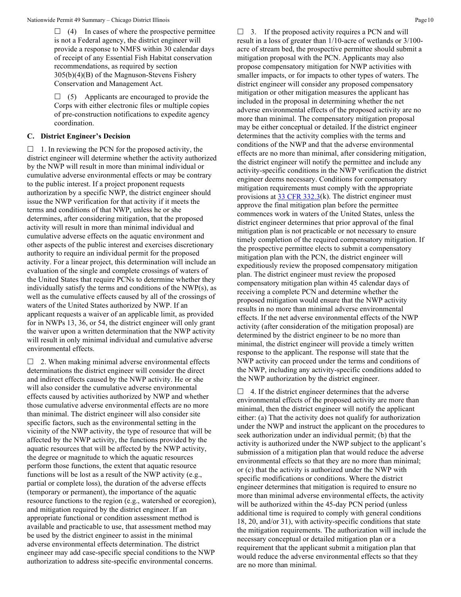$\Box$  (4) In cases of where the prospective permittee is not a Federal agency, the district engineer will provide a response to NMFS within 30 calendar days of receipt of any Essential Fish Habitat conservation recommendations, as required by section 305(b)(4)(B) of the Magnuson-Stevens Fishery Conservation and Management Act.

 $\Box$  (5) Applicants are encouraged to provide the Corps with either electronic files or multiple copies of pre-construction notifications to expedite agency coordination.

### **C. District Engineer's Decision**

 $\Box$  1. In reviewing the PCN for the proposed activity, the district engineer will determine whether the activity authorized by the NWP will result in more than minimal individual or cumulative adverse environmental effects or may be contrary to the public interest. If a project proponent requests authorization by a specific NWP, the district engineer should issue the NWP verification for that activity if it meets the terms and conditions of that NWP, unless he or she determines, after considering mitigation, that the proposed activity will result in more than minimal individual and cumulative adverse effects on the aquatic environment and other aspects of the public interest and exercises discretionary authority to require an individual permit for the proposed activity. For a linear project, this determination will include an evaluation of the single and complete crossings of waters of the United States that require PCNs to determine whether they individually satisfy the terms and conditions of the NWP(s), as well as the cumulative effects caused by all of the crossings of waters of the United States authorized by NWP. If an applicant requests a waiver of an applicable limit, as provided for in NWPs 13, 36, or 54, the district engineer will only grant the waiver upon a written determination that the NWP activity will result in only minimal individual and cumulative adverse environmental effects.

 $\Box$  2. When making minimal adverse environmental effects determinations the district engineer will consider the direct and indirect effects caused by the NWP activity. He or she will also consider the cumulative adverse environmental effects caused by activities authorized by NWP and whether those cumulative adverse environmental effects are no more than minimal. The district engineer will also consider site specific factors, such as the environmental setting in the vicinity of the NWP activity, the type of resource that will be affected by the NWP activity, the functions provided by the aquatic resources that will be affected by the NWP activity, the degree or magnitude to which the aquatic resources perform those functions, the extent that aquatic resource functions will be lost as a result of the NWP activity (e.g., partial or complete loss), the duration of the adverse effects (temporary or permanent), the importance of the aquatic resource functions to the region (e.g., watershed or ecoregion), and mitigation required by the district engineer. If an appropriate functional or condition assessment method is available and practicable to use, that assessment method may be used by the district engineer to assist in the minimal adverse environmental effects determination. The district engineer may add case-specific special conditions to the NWP authorization to address site-specific environmental concerns.

 $\Box$  3. If the proposed activity requires a PCN and will result in a loss of greater than 1/10-acre of wetlands or 3/100 acre of stream bed, the prospective permittee should submit a mitigation proposal with the PCN. Applicants may also propose compensatory mitigation for NWP activities with smaller impacts, or for impacts to other types of waters. The district engineer will consider any proposed compensatory mitigation or other mitigation measures the applicant has included in the proposal in determining whether the net adverse environmental effects of the proposed activity are no more than minimal. The compensatory mitigation proposal may be either conceptual or detailed. If the district engineer determines that the activity complies with the terms and conditions of the NWP and that the adverse environmental effects are no more than minimal, after considering mitigation, the district engineer will notify the permittee and include any activity-specific conditions in the NWP verification the district engineer deems necessary. Conditions for compensatory mitigation requirements must comply with the appropriate provisions at [33 CFR 332.3\(](https://www.federalregister.gov/select-citation/2021/01/13/33-CFR-332.3)k). The district engineer must approve the final mitigation plan before the permittee commences work in waters of the United States, unless the district engineer determines that prior approval of the final mitigation plan is not practicable or not necessary to ensure timely completion of the required compensatory mitigation. If the prospective permittee elects to submit a compensatory mitigation plan with the PCN, the district engineer will expeditiously review the proposed compensatory mitigation plan. The district engineer must review the proposed compensatory mitigation plan within 45 calendar days of receiving a complete PCN and determine whether the proposed mitigation would ensure that the NWP activity results in no more than minimal adverse environmental effects. If the net adverse environmental effects of the NWP activity (after consideration of the mitigation proposal) are determined by the district engineer to be no more than minimal, the district engineer will provide a timely written response to the applicant. The response will state that the NWP activity can proceed under the terms and conditions of the NWP, including any activity-specific conditions added to the NWP authorization by the district engineer.

 $\Box$  4. If the district engineer determines that the adverse environmental effects of the proposed activity are more than minimal, then the district engineer will notify the applicant either: (a) That the activity does not qualify for authorization under the NWP and instruct the applicant on the procedures to seek authorization under an individual permit; (b) that the activity is authorized under the NWP subject to the applicant's submission of a mitigation plan that would reduce the adverse environmental effects so that they are no more than minimal; or (c) that the activity is authorized under the NWP with specific modifications or conditions. Where the district engineer determines that mitigation is required to ensure no more than minimal adverse environmental effects, the activity will be authorized within the 45-day PCN period (unless additional time is required to comply with general conditions 18, 20, and/or 31), with activity-specific conditions that state the mitigation requirements. The authorization will include the necessary conceptual or detailed mitigation plan or a requirement that the applicant submit a mitigation plan that would reduce the adverse environmental effects so that they are no more than minimal.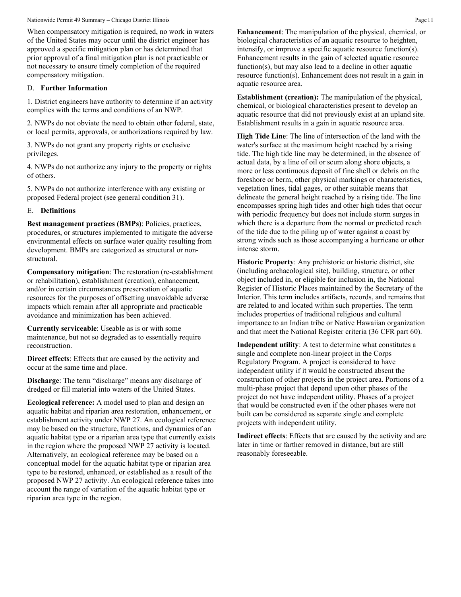Nationwide Permit 49 Summary – Chicago District Illinois **Page 11** National Page 11

When compensatory mitigation is required, no work in waters of the United States may occur until the district engineer has approved a specific mitigation plan or has determined that prior approval of a final mitigation plan is not practicable or not necessary to ensure timely completion of the required compensatory mitigation.

## D. **Further Information**

1. District engineers have authority to determine if an activity complies with the terms and conditions of an NWP.

2. NWPs do not obviate the need to obtain other federal, state, or local permits, approvals, or authorizations required by law.

3. NWPs do not grant any property rights or exclusive privileges.

4. NWPs do not authorize any injury to the property or rights of others.

5. NWPs do not authorize interference with any existing or proposed Federal project (see general condition 31).

# E. **Definitions**

**Best management practices (BMPs)**: Policies, practices, procedures, or structures implemented to mitigate the adverse environmental effects on surface water quality resulting from development. BMPs are categorized as structural or nonstructural.

**Compensatory mitigation**: The restoration (re-establishment or rehabilitation), establishment (creation), enhancement, and/or in certain circumstances preservation of aquatic resources for the purposes of offsetting unavoidable adverse impacts which remain after all appropriate and practicable avoidance and minimization has been achieved.

**Currently serviceable**: Useable as is or with some maintenance, but not so degraded as to essentially require reconstruction.

**Direct effects**: Effects that are caused by the activity and occur at the same time and place.

**Discharge**: The term "discharge" means any discharge of dredged or fill material into waters of the United States.

**Ecological reference:** A model used to plan and design an aquatic habitat and riparian area restoration, enhancement, or establishment activity under NWP 27. An ecological reference may be based on the structure, functions, and dynamics of an aquatic habitat type or a riparian area type that currently exists in the region where the proposed NWP 27 activity is located. Alternatively, an ecological reference may be based on a conceptual model for the aquatic habitat type or riparian area type to be restored, enhanced, or established as a result of the proposed NWP 27 activity. An ecological reference takes into account the range of variation of the aquatic habitat type or riparian area type in the region.

**Enhancement**: The manipulation of the physical, chemical, or biological characteristics of an aquatic resource to heighten, intensify, or improve a specific aquatic resource function(s). Enhancement results in the gain of selected aquatic resource function(s), but may also lead to a decline in other aquatic resource function(s). Enhancement does not result in a gain in aquatic resource area.

**Establishment (creation):** The manipulation of the physical, chemical, or biological characteristics present to develop an aquatic resource that did not previously exist at an upland site. Establishment results in a gain in aquatic resource area.

**High Tide Line**: The line of intersection of the land with the water's surface at the maximum height reached by a rising tide. The high tide line may be determined, in the absence of actual data, by a line of oil or scum along shore objects, a more or less continuous deposit of fine shell or debris on the foreshore or berm, other physical markings or characteristics, vegetation lines, tidal gages, or other suitable means that delineate the general height reached by a rising tide. The line encompasses spring high tides and other high tides that occur with periodic frequency but does not include storm surges in which there is a departure from the normal or predicted reach of the tide due to the piling up of water against a coast by strong winds such as those accompanying a hurricane or other intense storm.

**Historic Property**: Any prehistoric or historic district, site (including archaeological site), building, structure, or other object included in, or eligible for inclusion in, the National Register of Historic Places maintained by the Secretary of the Interior. This term includes artifacts, records, and remains that are related to and located within such properties. The term includes properties of traditional religious and cultural importance to an Indian tribe or Native Hawaiian organization and that meet the National Register criteria (36 CFR part 60).

**Independent utility**: A test to determine what constitutes a single and complete non-linear project in the Corps Regulatory Program. A project is considered to have independent utility if it would be constructed absent the construction of other projects in the project area. Portions of a multi-phase project that depend upon other phases of the project do not have independent utility. Phases of a project that would be constructed even if the other phases were not built can be considered as separate single and complete projects with independent utility.

**Indirect effects**: Effects that are caused by the activity and are later in time or farther removed in distance, but are still reasonably foreseeable.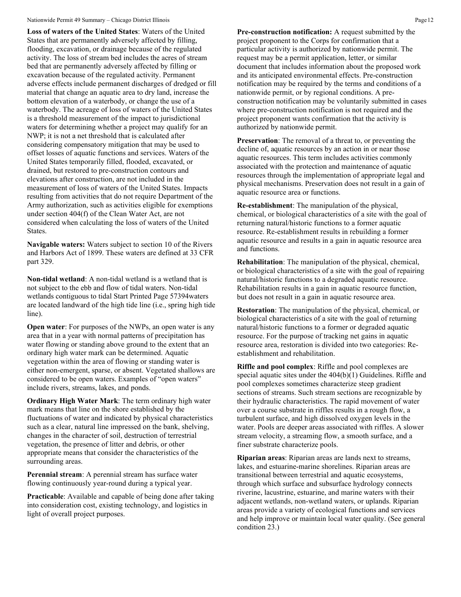#### Nationwide Permit 49 Summary – Chicago District Illinois **Page 12** Page 12

**Loss of waters of the United States**: Waters of the United States that are permanently adversely affected by filling, flooding, excavation, or drainage because of the regulated activity. The loss of stream bed includes the acres of stream bed that are permanently adversely affected by filling or excavation because of the regulated activity. Permanent adverse effects include permanent discharges of dredged or fill material that change an aquatic area to dry land, increase the bottom elevation of a waterbody, or change the use of a waterbody. The acreage of loss of waters of the United States is a threshold measurement of the impact to jurisdictional waters for determining whether a project may qualify for an NWP; it is not a net threshold that is calculated after considering compensatory mitigation that may be used to offset losses of aquatic functions and services. Waters of the United States temporarily filled, flooded, excavated, or drained, but restored to pre-construction contours and elevations after construction, are not included in the measurement of loss of waters of the United States. Impacts resulting from activities that do not require Department of the Army authorization, such as activities eligible for exemptions under section 404(f) of the Clean Water Act, are not considered when calculating the loss of waters of the United States.

**Navigable waters:** Waters subject to section 10 of the Rivers and Harbors Act of 1899. These waters are defined at 33 CFR part 329.

**Non-tidal wetland**: A non-tidal wetland is a wetland that is not subject to the ebb and flow of tidal waters. Non-tidal wetlands contiguous to tidal Start Printed Page 57394waters are located landward of the high tide line (i.e., spring high tide line).

**Open water**: For purposes of the NWPs, an open water is any area that in a year with normal patterns of precipitation has water flowing or standing above ground to the extent that an ordinary high water mark can be determined. Aquatic vegetation within the area of flowing or standing water is either non-emergent, sparse, or absent. Vegetated shallows are considered to be open waters. Examples of "open waters" include rivers, streams, lakes, and ponds.

**Ordinary High Water Mark**: The term ordinary high water mark means that line on the shore established by the fluctuations of water and indicated by physical characteristics such as a clear, natural line impressed on the bank, shelving, changes in the character of soil, destruction of terrestrial vegetation, the presence of litter and debris, or other appropriate means that consider the characteristics of the surrounding areas.

**Perennial stream**: A perennial stream has surface water flowing continuously year-round during a typical year.

**Practicable**: Available and capable of being done after taking into consideration cost, existing technology, and logistics in light of overall project purposes.

**Pre-construction notification:** A request submitted by the project proponent to the Corps for confirmation that a particular activity is authorized by nationwide permit. The request may be a permit application, letter, or similar document that includes information about the proposed work and its anticipated environmental effects. Pre-construction notification may be required by the terms and conditions of a nationwide permit, or by regional conditions. A preconstruction notification may be voluntarily submitted in cases where pre-construction notification is not required and the project proponent wants confirmation that the activity is authorized by nationwide permit.

**Preservation**: The removal of a threat to, or preventing the decline of, aquatic resources by an action in or near those aquatic resources. This term includes activities commonly associated with the protection and maintenance of aquatic resources through the implementation of appropriate legal and physical mechanisms. Preservation does not result in a gain of aquatic resource area or functions.

**Re-establishment**: The manipulation of the physical, chemical, or biological characteristics of a site with the goal of returning natural/historic functions to a former aquatic resource. Re-establishment results in rebuilding a former aquatic resource and results in a gain in aquatic resource area and functions.

**Rehabilitation**: The manipulation of the physical, chemical, or biological characteristics of a site with the goal of repairing natural/historic functions to a degraded aquatic resource. Rehabilitation results in a gain in aquatic resource function, but does not result in a gain in aquatic resource area.

**Restoration**: The manipulation of the physical, chemical, or biological characteristics of a site with the goal of returning natural/historic functions to a former or degraded aquatic resource. For the purpose of tracking net gains in aquatic resource area, restoration is divided into two categories: Reestablishment and rehabilitation.

**Riffle and pool complex**: Riffle and pool complexes are special aquatic sites under the 404(b)(1) Guidelines. Riffle and pool complexes sometimes characterize steep gradient sections of streams. Such stream sections are recognizable by their hydraulic characteristics. The rapid movement of water over a course substrate in riffles results in a rough flow, a turbulent surface, and high dissolved oxygen levels in the water. Pools are deeper areas associated with riffles. A slower stream velocity, a streaming flow, a smooth surface, and a finer substrate characterize pools.

**Riparian areas**: Riparian areas are lands next to streams, lakes, and estuarine-marine shorelines. Riparian areas are transitional between terrestrial and aquatic ecosystems, through which surface and subsurface hydrology connects riverine, lacustrine, estuarine, and marine waters with their adjacent wetlands, non-wetland waters, or uplands. Riparian areas provide a variety of ecological functions and services and help improve or maintain local water quality. (See general condition 23.)